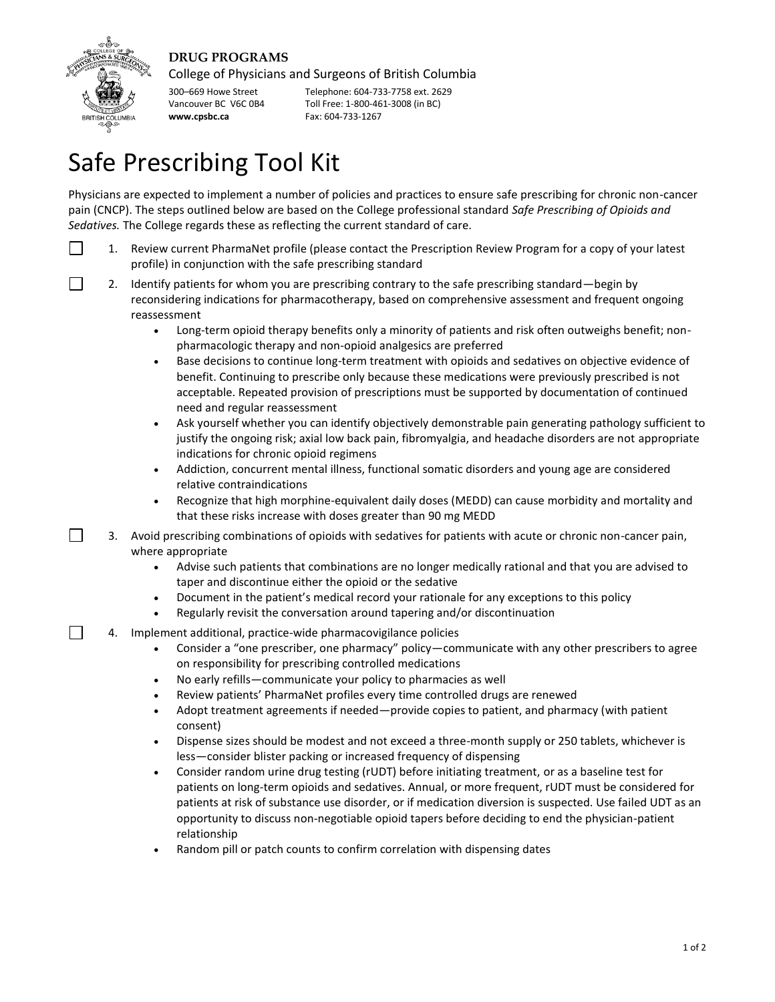## **DRUG PROGRAMS**



┑

College of Physicians and Surgeons of British Columbia

300–669 Howe Street Telephone: 604-733-7758 ext. 2629 Vancouver BC V6C 0B4 Toll Free: 1-800-461-3008 (in BC) **www.cpsbc.ca** Fax: 604-733-1267

## Safe Prescribing Tool Kit

Physicians are expected to implement a number of policies and practices to ensure safe prescribing for chronic non-cancer pain (CNCP). The steps outlined below are based on the College professional standard *Safe Prescribing of Opioids and Sedatives.* The College regards these as reflecting the current standard of care.

- $\Box$ 1. Review current PharmaNet profile (please contact the Prescription Review Program for a copy of your latest profile) in conjunction with the safe prescribing standard
- 2. Identify patients for whom you are prescribing contrary to the safe prescribing standard—begin by  $\sim$ reconsidering indications for pharmacotherapy, based on comprehensive assessment and frequent ongoing reassessment
	- Long-term opioid therapy benefits only a minority of patients and risk often outweighs benefit; nonpharmacologic therapy and non-opioid analgesics are preferred
	- Base decisions to continue long-term treatment with opioids and sedatives on objective evidence of benefit. Continuing to prescribe only because these medications were previously prescribed is not acceptable. Repeated provision of prescriptions must be supported by documentation of continued need and regular reassessment
	- Ask yourself whether you can identify objectively demonstrable pain generating pathology sufficient to justify the ongoing risk; axial low back pain, fibromyalgia, and headache disorders are not appropriate indications for chronic opioid regimens
	- Addiction, concurrent mental illness, functional somatic disorders and young age are considered relative contraindications
	- Recognize that high morphine-equivalent daily doses (MEDD) can cause morbidity and mortality and that these risks increase with doses greater than 90 mg MEDD
	- 3. Avoid prescribing combinations of opioids with sedatives for patients with acute or chronic non-cancer pain, where appropriate
		- Advise such patients that combinations are no longer medically rational and that you are advised to taper and discontinue either the opioid or the sedative
		- Document in the patient's medical record your rationale for any exceptions to this policy
		- Regularly revisit the conversation around tapering and/or discontinuation
	- 4. Implement additional, practice-wide pharmacovigilance policies
		- Consider a "one prescriber, one pharmacy" policy—communicate with any other prescribers to agree on responsibility for prescribing controlled medications
		- No early refills—communicate your policy to pharmacies as well
		- Review patients' PharmaNet profiles every time controlled drugs are renewed
		- Adopt treatment agreements if needed—provide copies to patient, and pharmacy (with patient consent)
		- Dispense sizes should be modest and not exceed a three-month supply or 250 tablets, whichever is less—consider blister packing or increased frequency of dispensing
		- Consider random urine drug testing (rUDT) before initiating treatment, or as a baseline test for patients on long-term opioids and sedatives. Annual, or more frequent, rUDT must be considered for patients at risk of substance use disorder, or if medication diversion is suspected. Use failed UDT as an opportunity to discuss non-negotiable opioid tapers before deciding to end the physician-patient relationship
		- Random pill or patch counts to confirm correlation with dispensing dates